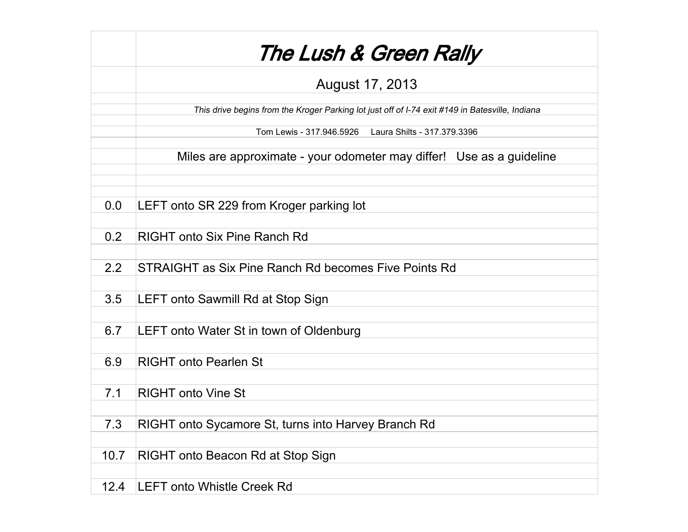|      | The Lush & Green Rally                                                                          |
|------|-------------------------------------------------------------------------------------------------|
|      | August 17, 2013                                                                                 |
|      | This drive begins from the Kroger Parking lot just off of I-74 exit #149 in Batesville, Indiana |
|      | Tom Lewis - 317.946.5926    Laura Shilts - 317.379.3396                                         |
|      | Miles are approximate - your odometer may differ! Use as a guideline                            |
| 0.0  | LEFT onto SR 229 from Kroger parking lot                                                        |
| 0.2  | <b>RIGHT onto Six Pine Ranch Rd</b>                                                             |
| 2.2  | STRAIGHT as Six Pine Ranch Rd becomes Five Points Rd                                            |
| 3.5  | LEFT onto Sawmill Rd at Stop Sign                                                               |
| 6.7  | LEFT onto Water St in town of Oldenburg                                                         |
| 6.9  | <b>RIGHT onto Pearlen St</b>                                                                    |
| 7.1  | <b>RIGHT onto Vine St</b>                                                                       |
| 7.3  | RIGHT onto Sycamore St, turns into Harvey Branch Rd                                             |
| 10.7 | RIGHT onto Beacon Rd at Stop Sign                                                               |
| 12.4 | <b>LEFT onto Whistle Creek Rd</b>                                                               |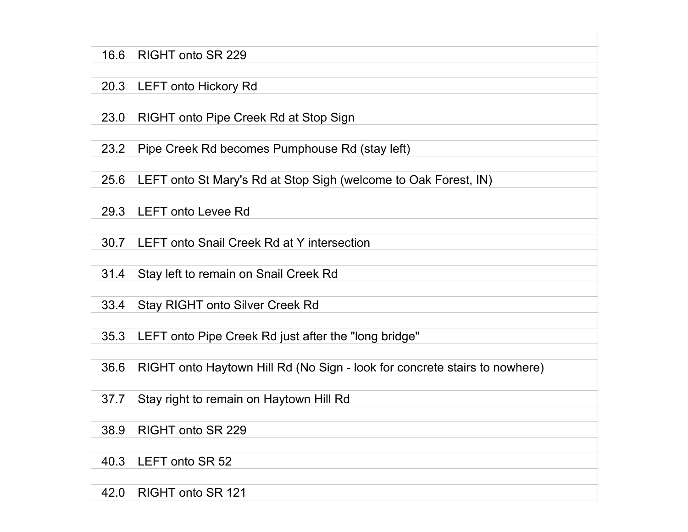| 16.6 | RIGHT onto SR 229                                                          |
|------|----------------------------------------------------------------------------|
|      |                                                                            |
| 20.3 | <b>LEFT onto Hickory Rd</b>                                                |
|      |                                                                            |
| 23.0 | RIGHT onto Pipe Creek Rd at Stop Sign                                      |
|      |                                                                            |
| 23.2 | Pipe Creek Rd becomes Pumphouse Rd (stay left)                             |
| 25.6 |                                                                            |
|      | LEFT onto St Mary's Rd at Stop Sigh (welcome to Oak Forest, IN)            |
| 29.3 | <b>LEFT onto Levee Rd</b>                                                  |
|      |                                                                            |
| 30.7 | <b>LEFT onto Snail Creek Rd at Y intersection</b>                          |
|      |                                                                            |
| 31.4 | Stay left to remain on Snail Creek Rd                                      |
|      |                                                                            |
| 33.4 | <b>Stay RIGHT onto Silver Creek Rd</b>                                     |
|      |                                                                            |
| 35.3 | LEFT onto Pipe Creek Rd just after the "long bridge"                       |
|      |                                                                            |
| 36.6 | RIGHT onto Haytown Hill Rd (No Sign - look for concrete stairs to nowhere) |
|      |                                                                            |
| 37.7 | Stay right to remain on Haytown Hill Rd                                    |
| 38.9 | RIGHT onto SR 229                                                          |
|      |                                                                            |
| 40.3 | LEFT onto SR 52                                                            |
|      |                                                                            |
| 42.0 | RIGHT onto SR 121                                                          |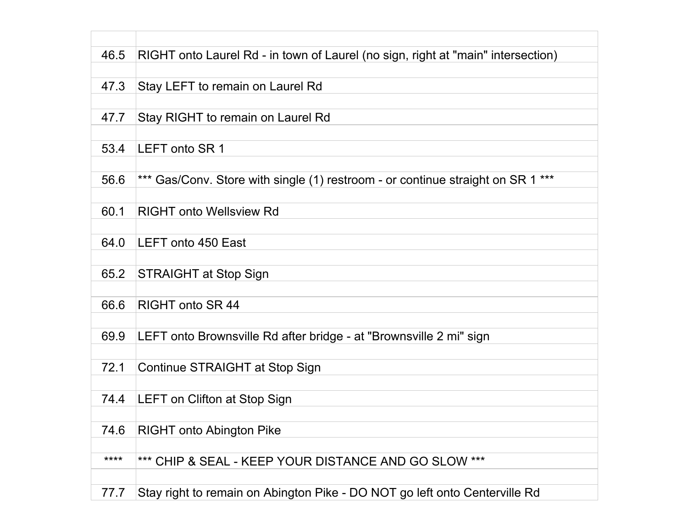| 46.5 | RIGHT onto Laurel Rd - in town of Laurel (no sign, right at "main" intersection) |
|------|----------------------------------------------------------------------------------|
|      |                                                                                  |
| 47.3 | Stay LEFT to remain on Laurel Rd                                                 |
|      |                                                                                  |
| 47.7 | Stay RIGHT to remain on Laurel Rd                                                |
|      |                                                                                  |
|      |                                                                                  |
| 53.4 | LEFT onto SR 1                                                                   |
|      |                                                                                  |
| 56.6 | *** Gas/Conv. Store with single (1) restroom - or continue straight on SR 1 ***  |
|      |                                                                                  |
| 60.1 | <b>RIGHT onto Wellsview Rd</b>                                                   |
|      |                                                                                  |
| 64.0 | <b>LEFT onto 450 East</b>                                                        |
|      |                                                                                  |
| 65.2 | <b>STRAIGHT at Stop Sign</b>                                                     |
|      |                                                                                  |
| 66.6 | <b>RIGHT onto SR 44</b>                                                          |
|      |                                                                                  |
| 69.9 | LEFT onto Brownsville Rd after bridge - at "Brownsville 2 mi" sign               |
|      |                                                                                  |
| 72.1 | Continue STRAIGHT at Stop Sign                                                   |
|      |                                                                                  |
| 74.4 | LEFT on Clifton at Stop Sign                                                     |
|      |                                                                                  |
| 74.6 | <b>RIGHT onto Abington Pike</b>                                                  |
|      |                                                                                  |
| **** | *** CHIP & SEAL - KEEP YOUR DISTANCE AND GO SLOW ***                             |
|      |                                                                                  |
|      |                                                                                  |
| 77.7 | Stay right to remain on Abington Pike - DO NOT go left onto Centerville Rd       |

┓

 $\Box$ 

T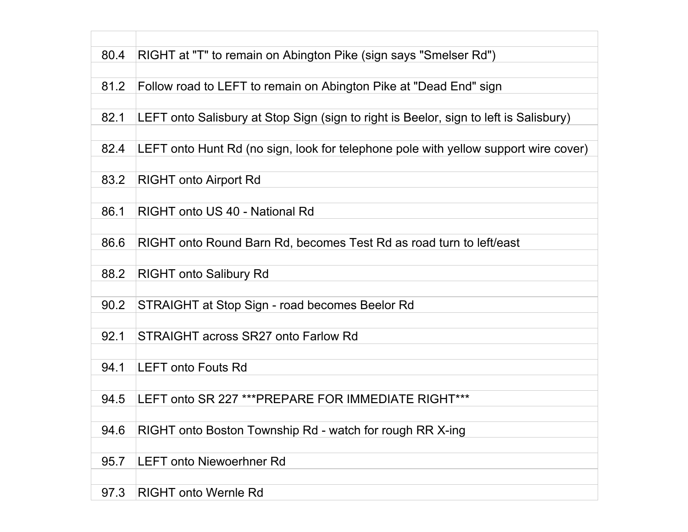| 80.4 | RIGHT at "T" to remain on Abington Pike (sign says "Smelser Rd")                      |
|------|---------------------------------------------------------------------------------------|
|      |                                                                                       |
| 81.2 | Follow road to LEFT to remain on Abington Pike at "Dead End" sign                     |
|      |                                                                                       |
| 82.1 | LEFT onto Salisbury at Stop Sign (sign to right is Beelor, sign to left is Salisbury) |
|      |                                                                                       |
| 82.4 | LEFT onto Hunt Rd (no sign, look for telephone pole with yellow support wire cover)   |
|      |                                                                                       |
| 83.2 | <b>RIGHT onto Airport Rd</b>                                                          |
|      |                                                                                       |
| 86.1 | RIGHT onto US 40 - National Rd                                                        |
|      |                                                                                       |
| 86.6 | RIGHT onto Round Barn Rd, becomes Test Rd as road turn to left/east                   |
|      |                                                                                       |
| 88.2 | <b>RIGHT onto Salibury Rd</b>                                                         |
|      |                                                                                       |
| 90.2 | STRAIGHT at Stop Sign - road becomes Beelor Rd                                        |
|      |                                                                                       |
| 92.1 | STRAIGHT across SR27 onto Farlow Rd                                                   |
|      |                                                                                       |
| 94.1 | <b>LEFT onto Fouts Rd</b>                                                             |
|      |                                                                                       |
| 94.5 | LEFT onto SR 227 *** PREPARE FOR IMMEDIATE RIGHT***                                   |
|      |                                                                                       |
| 94.6 | RIGHT onto Boston Township Rd - watch for rough RR X-ing                              |
|      |                                                                                       |
| 95.7 | <b>LEFT onto Niewoerhner Rd</b>                                                       |
|      |                                                                                       |
| 97.3 | <b>RIGHT onto Wernle Rd</b>                                                           |